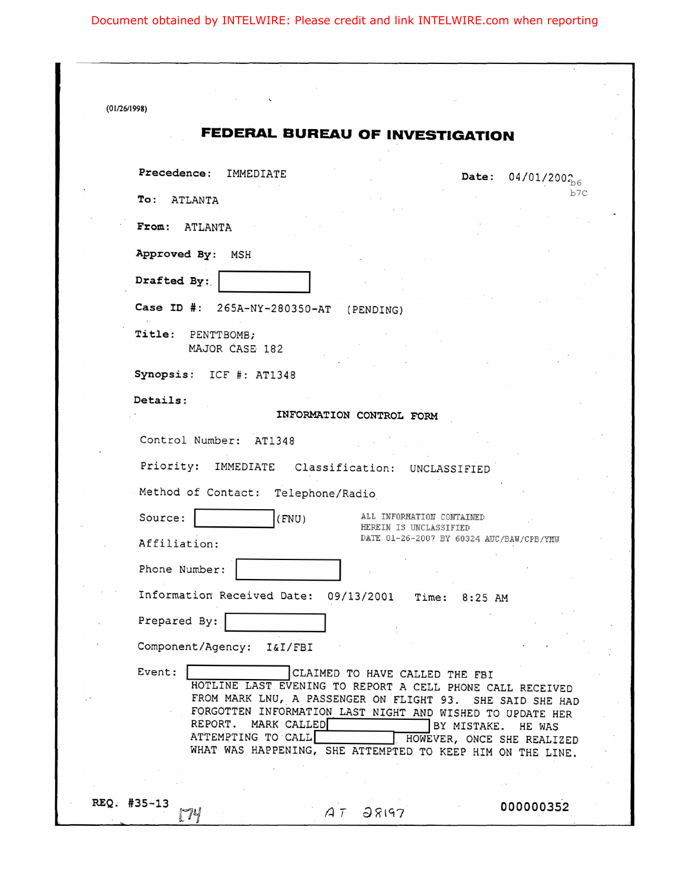| (01/26/1998)                                                                                                                                                                                                                                                                                                                               |                                                                       |
|--------------------------------------------------------------------------------------------------------------------------------------------------------------------------------------------------------------------------------------------------------------------------------------------------------------------------------------------|-----------------------------------------------------------------------|
| <b>FEDERAL BUREAU OF INVESTIGATION</b>                                                                                                                                                                                                                                                                                                     |                                                                       |
| Precedence: IMMEDIATE                                                                                                                                                                                                                                                                                                                      | $04/01/200_{b6}$<br><b>Date:</b>                                      |
| $\texttt{To}:$<br>ATLANTA                                                                                                                                                                                                                                                                                                                  | b7C                                                                   |
| From: ATLANTA                                                                                                                                                                                                                                                                                                                              |                                                                       |
| Approved By: MSH                                                                                                                                                                                                                                                                                                                           |                                                                       |
| Drafted By:                                                                                                                                                                                                                                                                                                                                |                                                                       |
| Case ID #: 265A-NY-280350-AT<br>(PENDING)                                                                                                                                                                                                                                                                                                  |                                                                       |
| Title: PENTTBOMB;<br>MAJOR CASE 182                                                                                                                                                                                                                                                                                                        |                                                                       |
| Synopsis: ICF #: AT1348                                                                                                                                                                                                                                                                                                                    |                                                                       |
| Details:<br>INFORMATION CONTROL FORM                                                                                                                                                                                                                                                                                                       |                                                                       |
| Control Number: AT1348                                                                                                                                                                                                                                                                                                                     |                                                                       |
| Priority:<br>IMMEDIATE<br>Classification: UNCLASSIFIED                                                                                                                                                                                                                                                                                     |                                                                       |
| Method of Contact: Telephone/Radio                                                                                                                                                                                                                                                                                                         |                                                                       |
| Source:<br>(FNU)<br>HEREIN IS UNCLASSIFIED<br>Affiliation:                                                                                                                                                                                                                                                                                 | ALL INFORMATION CONTAINED<br>DATE 01-26-2007 BY 60324 AUC/BAW/CPB/YMW |
| Phone Number:                                                                                                                                                                                                                                                                                                                              |                                                                       |
| Information Received Date:<br>09/13/2001                                                                                                                                                                                                                                                                                                   | Time: 8:25 AM                                                         |
| Prepared By:                                                                                                                                                                                                                                                                                                                               |                                                                       |
| Component/Agency:<br>I&I/FBI                                                                                                                                                                                                                                                                                                               |                                                                       |
| Event:<br>CLAIMED TO HAVE CALLED THE FBI<br>HOTLINE LAST EVENING TO REPORT A CELL PHONE CALL RECEIVED<br>FROM MARK LNU, A PASSENGER ON FLIGHT 93. SHE SAID SHE HAD<br>FORGOTTEN INFORMATION LAST NIGHT AND WISHED TO UPDATE HER<br>REPORT. MARK CALLED<br>ATTEMPTING TO CALL<br>WHAT WAS HAPPENING, SHE ATTEMPTED TO KEEP HIM ON THE LINE. | BY MISTAKE.<br>HE WAS<br>HOWEVER, ONCE SHE REALIZED                   |
|                                                                                                                                                                                                                                                                                                                                            |                                                                       |
| REQ. #35-13<br>28197<br>AT<br>74                                                                                                                                                                                                                                                                                                           | 000000352                                                             |